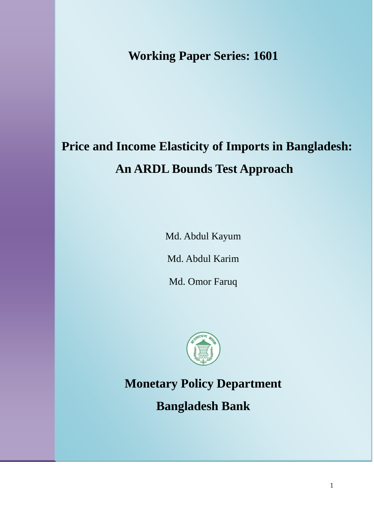**Working Paper Series: 1601**

# **Price and Income Elasticity of Imports in Bangladesh: An ARDL Bounds Test Approach**

Md. Abdul Kayum

Md. Abdul Karim

Md. Omor Faruq



**Monetary Policy Department**

**Bangladesh Bank**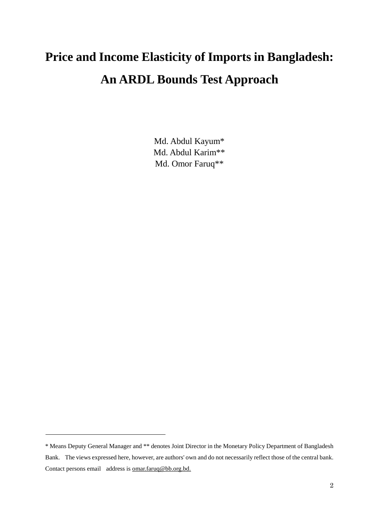# **Price and Income Elasticity of Imports in Bangladesh: An ARDL Bounds Test Approach**

Md. Abdul Kayum\* Md. Abdul Karim\*\* Md. Omor Faruq\*\*

<sup>\*</sup> Means Deputy General Manager and \*\* denotes Joint Director in the Monetary Policy Department of Bangladesh Bank. The views expressed here, however, are authors' own and do not necessarily reflect those of the central bank. Contact persons email address is omar.faruq@bb.org.bd.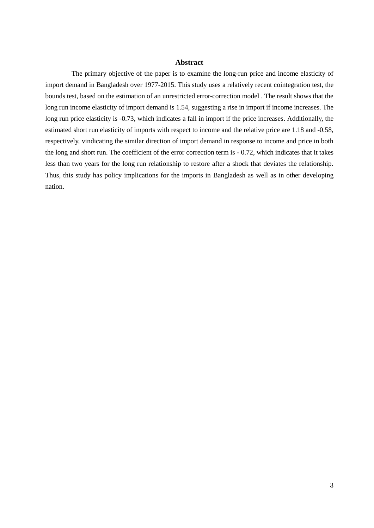# **Abstract**

The primary objective of the paper is to examine the long-run price and income elasticity of import demand in Bangladesh over 1977-2015. This study uses a relatively recent cointegration test, the bounds test, based on the estimation of an unrestricted error-correction model . The result shows that the long run income elasticity of import demand is 1.54, suggesting a rise in import if income increases. The long run price elasticity is -0.73, which indicates a fall in import if the price increases. Additionally, the estimated short run elasticity of imports with respect to income and the relative price are 1.18 and -0.58, respectively, vindicating the similar direction of import demand in response to income and price in both the long and short run. The coefficient of the error correction term is - 0.72, which indicates that it takes less than two years for the long run relationship to restore after a shock that deviates the relationship. Thus, this study has policy implications for the imports in Bangladesh as well as in other developing nation.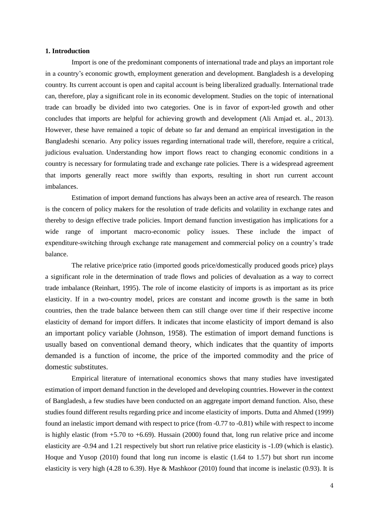# **1. Introduction**

Import is one of the predominant components of international trade and plays an important role in a country's economic growth, employment generation and development. Bangladesh is a developing country. Its current account is open and capital account is being liberalized gradually. International trade can, therefore, play a significant role in its economic development. Studies on the topic of international trade can broadly be divided into two categories. One is in favor of export-led growth and other concludes that imports are helpful for achieving growth and development (Ali Amjad et. al., 2013). However, these have remained a topic of debate so far and demand an empirical investigation in the Bangladeshi scenario. Any policy issues regarding international trade will, therefore, require a critical, judicious evaluation. Understanding how import flows react to changing economic conditions in a country is necessary for formulating trade and exchange rate policies. There is a widespread agreement that imports generally react more swiftly than exports, resulting in short run current account imbalances.

Estimation of import demand functions has always been an active area of research. The reason is the concern of policy makers for the resolution of trade deficits and volatility in exchange rates and thereby to design effective trade policies. Import demand function investigation has implications for a wide range of important macro-economic policy issues. These include the impact of expenditure-switching through exchange rate management and commercial policy on a country's trade balance.

The relative price/price ratio (imported goods price/domestically produced goods price) plays a significant role in the determination of trade flows and policies of devaluation as a way to correct trade imbalance (Reinhart, 1995). The role of income elasticity of imports is as important as its price elasticity. If in a two-country model, prices are constant and income growth is the same in both countries, then the trade balance between them can still change over time if their respective income elasticity of demand for import differs. It indicates that income elasticity of import demand is also an important policy variable (Johnson, 1958). The estimation of import demand functions is usually based on conventional demand theory, which indicates that the quantity of imports demanded is a function of income, the price of the imported commodity and the price of domestic substitutes.

Empirical literature of international economics shows that many studies have investigated estimation of import demand function in the developed and developing countries. However in the context of Bangladesh, a few studies have been conducted on an aggregate import demand function. Also, these studies found different results regarding price and income elasticity of imports. Dutta and Ahmed (1999) found an inelastic import demand with respect to price (from -0.77 to -0.81) while with respect to income is highly elastic (from  $+5.70$  to  $+6.69$ ). Hussain (2000) found that, long run relative price and income elasticity are -0.94 and 1.21 respectively but short run relative price elasticity is -1.09 (which is elastic). Hoque and Yusop (2010) found that long run income is elastic (1.64 to 1.57) but short run income elasticity is very high (4.28 to 6.39). Hye & Mashkoor (2010) found that income is inelastic (0.93). It is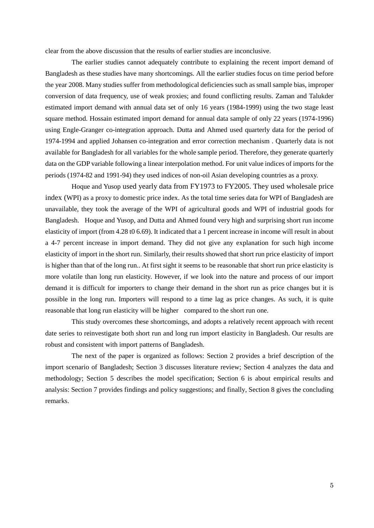clear from the above discussion that the results of earlier studies are inconclusive.

The earlier studies cannot adequately contribute to explaining the recent import demand of Bangladesh as these studies have many shortcomings. All the earlier studies focus on time period before the year 2008. Many studies suffer from methodological deficiencies such as small sample bias, improper conversion of data frequency, use of weak proxies; and found conflicting results. Zaman and Talukder estimated import demand with annual data set of only 16 years (1984-1999) using the two stage least square method. Hossain estimated import demand for annual data sample of only 22 years (1974-1996) using Engle-Granger co-integration approach. Dutta and Ahmed used quarterly data for the period of 1974-1994 and applied Johansen co-integration and error correction mechanism . Quarterly data is not available for Bangladesh for all variables for the whole sample period. Therefore, they generate quarterly data on the GDP variable following a linear interpolation method. For unit value indices of imports for the periods (1974-82 and 1991-94) they used indices of non-oil Asian developing countries as a proxy.

Hoque and Yusop used yearly data from FY1973 to FY2005. They used wholesale price index (WPI) as a proxy to domestic price index. As the total time series data for WPI of Bangladesh are unavailable, they took the average of the WPI of agricultural goods and WPI of industrial goods for Bangladesh. Hoque and Yusop, and Dutta and Ahmed found very high and surprising short run income elasticity of import (from 4.28 t0 6.69). It indicated that a 1 percent increase in income will result in about a 4-7 percent increase in import demand. They did not give any explanation for such high income elasticity of import in the short run. Similarly, their results showed that short run price elasticity of import is higher than that of the long run.. At first sight it seems to be reasonable that short run price elasticity is more volatile than long run elasticity. However, if we look into the nature and process of our import demand it is difficult for importers to change their demand in the short run as price changes but it is possible in the long run. Importers will respond to a time lag as price changes. As such, it is quite reasonable that long run elasticity will be higher compared to the short run one.

This study overcomes these shortcomings, and adopts a relatively recent approach with recent date series to reinvestigate both short run and long run import elasticity in Bangladesh. Our results are robust and consistent with import patterns of Bangladesh.

The next of the paper is organized as follows: Section 2 provides a brief description of the import scenario of Bangladesh; Section 3 discusses literature review; Section 4 analyzes the data and methodology; Section 5 describes the model specification; Section 6 is about empirical results and analysis: Section 7 provides findings and policy suggestions; and finally, Section 8 gives the concluding remarks.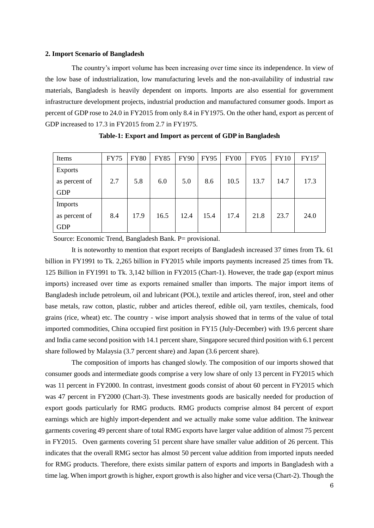#### **2. Import Scenario of Bangladesh**

The country's import volume has been increasing over time since its independence. In view of the low base of industrialization, low manufacturing levels and the non-availability of industrial raw materials, Bangladesh is heavily dependent on imports. Imports are also essential for government infrastructure development projects, industrial production and manufactured consumer goods. Import as percent of GDP rose to 24.0 in FY2015 from only 8.4 in FY1975. On the other hand, export as percent of GDP increased to 17.3 in FY2015 from 2.7 in FY1975.

| Items          | <b>FY75</b> | <b>FY80</b> | <b>FY85</b> | <b>FY90</b> | <b>FY95</b> | FY00 | <b>FY05</b> | <b>FY10</b> | $FY15^p$ |
|----------------|-------------|-------------|-------------|-------------|-------------|------|-------------|-------------|----------|
| <b>Exports</b> |             |             |             |             |             |      |             |             |          |
| as percent of  | 2.7         | 5.8         | 6.0         | 5.0         | 8.6         | 10.5 | 13.7        | 14.7        | 17.3     |
| <b>GDP</b>     |             |             |             |             |             |      |             |             |          |
| <b>Imports</b> |             |             |             |             |             |      |             |             |          |
| as percent of  | 8.4         | 17.9        | 16.5        | 12.4        | 15.4        | 17.4 | 21.8        | 23.7        | 24.0     |
| <b>GDP</b>     |             |             |             |             |             |      |             |             |          |

**Table-1: Export and Import as percent of GDP in Bangladesh**

Source: Economic Trend, Bangladesh Bank. P= provisional.

It is noteworthy to mention that export receipts of Bangladesh increased 37 times from Tk. 61 billion in FY1991 to Tk. 2,265 billion in FY2015 while imports payments increased 25 times from Tk. 125 Billion in FY1991 to Tk. 3,142 billion in FY2015 (Chart-1). However, the trade gap (export minus imports) increased over time as exports remained smaller than imports. The major import items of Bangladesh include petroleum, oil and lubricant (POL), textile and articles thereof, iron, steel and other base metals, raw cotton, plastic, rubber and articles thereof, edible oil, yarn textiles, chemicals, food grains (rice, wheat) etc. The country - wise import analysis showed that in terms of the value of total imported commodities, China occupied first position in FY15 (July-December) with 19.6 percent share and India came second position with 14.1 percent share, Singapore secured third position with 6.1 percent share followed by Malaysia (3.7 percent share) and Japan (3.6 percent share).

The composition of imports has changed slowly. The composition of our imports showed that consumer goods and intermediate goods comprise a very low share of only 13 percent in FY2015 which was 11 percent in FY2000. In contrast, investment goods consist of about 60 percent in FY2015 which was 47 percent in FY2000 (Chart-3). These investments goods are basically needed for production of export goods particularly for RMG products. RMG products comprise almost 84 percent of export earnings which are highly import-dependent and we actually make some value addition. The knitwear garments covering 49 percent share of total RMG exports have larger value addition of almost 75 percent in FY2015. Oven garments covering 51 percent share have smaller value addition of 26 percent. This indicates that the overall RMG sector has almost 50 percent value addition from imported inputs needed for RMG products. Therefore, there exists similar pattern of exports and imports in Bangladesh with a time lag. When import growth is higher, export growth is also higher and vice versa (Chart-2). Though the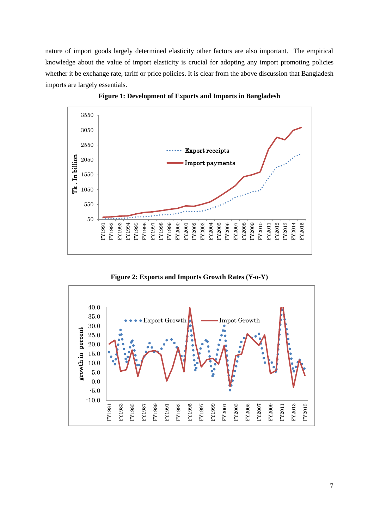nature of import goods largely determined elasticity other factors are also important. The empirical knowledge about the value of import elasticity is crucial for adopting any import promoting policies whether it be exchange rate, tariff or price policies. It is clear from the above discussion that Bangladesh imports are largely essentials.



**Figure 1: Development of Exports and Imports in Bangladesh**

**Figure 2: Exports and Imports Growth Rates (Y-o-Y)**

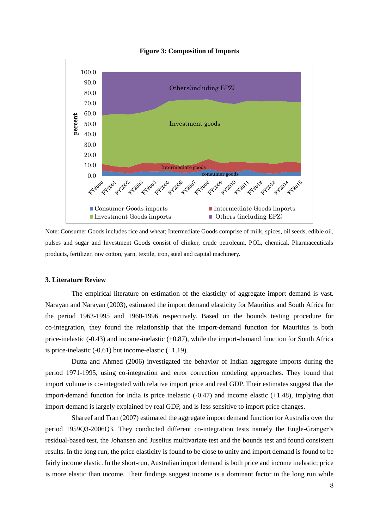

**Figure 3: Composition of Imports**

Note: Consumer Goods includes rice and wheat; Intermediate Goods comprise of milk, spices, oil seeds, edible oil, pulses and sugar and Investment Goods consist of clinker, crude petroleum, POL, chemical, Pharmaceuticals products, fertilizer, raw cotton, yarn, textile, iron, steel and capital machinery.

#### **3. Literature Review**

The empirical literature on estimation of the elasticity of aggregate import demand is vast. Narayan and Narayan (2003), estimated the import demand elasticity for Mauritius and South Africa for the period 1963-1995 and 1960-1996 respectively. Based on the bounds testing procedure for co-integration, they found the relationship that the import-demand function for Mauritius is both price-inelastic (-0.43) and income-inelastic (+0.87), while the import-demand function for South Africa is price-inelastic  $(-0.61)$  but income-elastic  $(+1.19)$ .

Dutta and Ahmed (2006) investigated the behavior of Indian aggregate imports during the period 1971-1995, using co-integration and error correction modeling approaches. They found that import volume is co-integrated with relative import price and real GDP. Their estimates suggest that the import-demand function for India is price inelastic (-0.47) and income elastic (+1.48), implying that import-demand is largely explained by real GDP, and is less sensitive to import price changes.

Shareef and Tran (2007) estimated the aggregate import demand function for Australia over the period 1959Q3-2006Q3. They conducted different co-integration tests namely the Engle-Granger's residual-based test, the Johansen and Juselius multivariate test and the bounds test and found consistent results. In the long run, the price elasticity is found to be close to unity and import demand is found to be fairly income elastic. In the short-run, Australian import demand is both price and income inelastic; price is more elastic than income. Their findings suggest income is a dominant factor in the long run while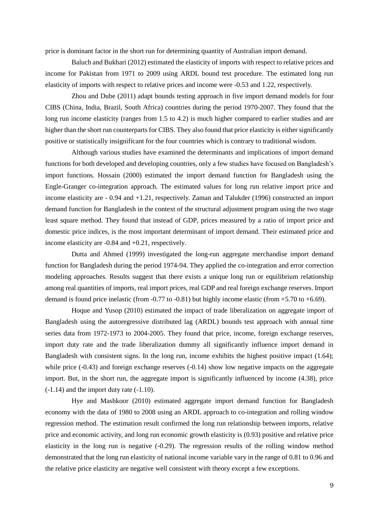price is dominant factor in the short run for determining quantity of Australian import demand.

Baluch and Bukhari (2012) estimated the elasticity of imports with respect to relative prices and income for Pakistan from 1971 to 2009 using ARDL bound test procedure. The estimated long run elasticity of imports with respect to relative prices and income were -0.53 and 1.22, respectively.

Zhou and Dube (2011) adapt bounds testing approach in five import demand models for four CIBS (China, India, Brazil, South Africa) countries during the period 1970-2007. They found that the long run income elasticity (ranges from 1.5 to 4.2) is much higher compared to earlier studies and are higher than the short run counterparts for CIBS. They also found that price elasticity is either significantly positive or statistically insignificant for the four countries which is contrary to traditional wisdom.

Although various studies have examined the determinants and implications of import demand functions for both developed and developing countries, only a few studies have focused on Bangladesh's import functions. Hossain (2000) estimated the import demand function for Bangladesh using the Engle-Granger co-integration approach. The estimated values for long run relative import price and income elasticity are - 0.94 and +1.21, respectively. Zaman and Talukder (1996) constructed an import demand function for Bangladesh in the context of the structural adjustment program using the two stage least square method. They found that instead of GDP, prices measured by a ratio of import price and domestic price indices, is the most important determinant of import demand. Their estimated price and income elasticity are -0.84 and +0.21, respectively.

Dutta and Ahmed (1999) investigated the long-run aggregate merchandise import demand function for Bangladesh during the period 1974-94. They applied the co-integration and error correction modeling approaches. Results suggest that there exists a unique long run or equilibrium relationship among real quantities of imports, real import prices, real GDP and real foreign exchange reserves. Import demand is found price inelastic (from  $-0.77$  to  $-0.81$ ) but highly income elastic (from  $+5.70$  to  $+6.69$ ).

Hoque and Yusop (2010) estimated the impact of trade liberalization on aggregate import of Bangladesh using the autoregressive distributed lag (ARDL) bounds test approach with annual time series data from 1972-1973 to 2004-2005. They found that price, income, foreign exchange reserves, import duty rate and the trade liberalization dummy all significantly influence import demand in Bangladesh with consistent signs. In the long run, income exhibits the highest positive impact (1.64); while price (-0.43) and foreign exchange reserves (-0.14) show low negative impacts on the aggregate import. But, in the short run, the aggregate import is significantly influenced by income (4.38), price (-1.14) and the import duty rate (-1.10).

Hye and Mashkoor (2010) estimated aggregate import demand function for Bangladesh economy with the data of 1980 to 2008 using an ARDL approach to co-integration and rolling window regression method. The estimation result confirmed the long run relationship between imports, relative price and economic activity, and long run economic growth elasticity is (0.93) positive and relative price elasticity in the long run is negative (-0.29). The regression results of the rolling window method demonstrated that the long run elasticity of national income variable vary in the range of 0.81 to 0.96 and the relative price elasticity are negative well consistent with theory except a few exceptions.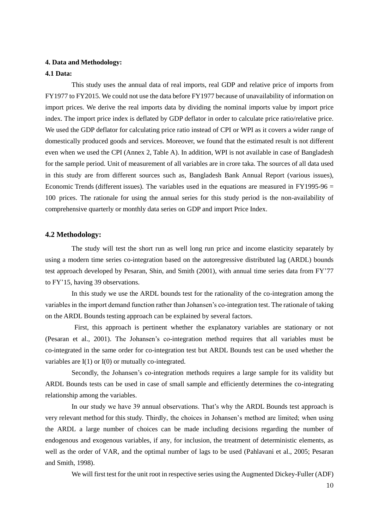# **4. Data and Methodology:**

#### **4.1 Data:**

This study uses the annual data of real imports, real GDP and relative price of imports from FY1977 to FY2015. We could not use the data before FY1977 because of unavailability of information on import prices. We derive the real imports data by dividing the nominal imports value by import price index. The import price index is deflated by GDP deflator in order to calculate price ratio/relative price. We used the GDP deflator for calculating price ratio instead of CPI or WPI as it covers a wider range of domestically produced goods and services. Moreover, we found that the estimated result is not different even when we used the CPI (Annex 2, Table A). In addition, WPI is not available in case of Bangladesh for the sample period. Unit of measurement of all variables are in crore taka. The sources of all data used in this study are from different sources such as, Bangladesh Bank Annual Report (various issues), Economic Trends (different issues). The variables used in the equations are measured in FY1995-96  $=$ 100 prices. The rationale for using the annual series for this study period is the non-availability of comprehensive quarterly or monthly data series on GDP and import Price Index.

## **4.2 Methodology:**

The study will test the short run as well long run price and income elasticity separately by using a modern time series co-integration based on the autoregressive distributed lag (ARDL) bounds test approach developed by Pesaran, Shin, and Smith (2001), with annual time series data from FY'77 to FY'15, having 39 observations.

In this study we use the ARDL bounds test for the rationality of the co-integration among the variables in the import demand function rather than Johansen's co-integration test. The rationale of taking on the ARDL Bounds testing approach can be explained by several factors.

First, this approach is pertinent whether the explanatory variables are stationary or not (Pesaran et al., 2001). The Johansen's co-integration method requires that all variables must be co-integrated in the same order for co-integration test but ARDL Bounds test can be used whether the variables are  $I(1)$  or  $I(0)$  or mutually co-integrated.

Secondly, the Johansen's co-integration methods requires a large sample for its validity but ARDL Bounds tests can be used in case of small sample and efficiently determines the co-integrating relationship among the variables.

In our study we have 39 annual observations. That's why the ARDL Bounds test approach is very relevant method for this study. Thirdly, the choices in Johansen's method are limited; when using the ARDL a large number of choices can be made including decisions regarding the number of endogenous and exogenous variables, if any, for inclusion, the treatment of deterministic elements, as well as the order of VAR, and the optimal number of lags to be used (Pahlavani et al., 2005; Pesaran and Smith, 1998).

We will first test for the unit root in respective series using the Augmented Dickey-Fuller (ADF)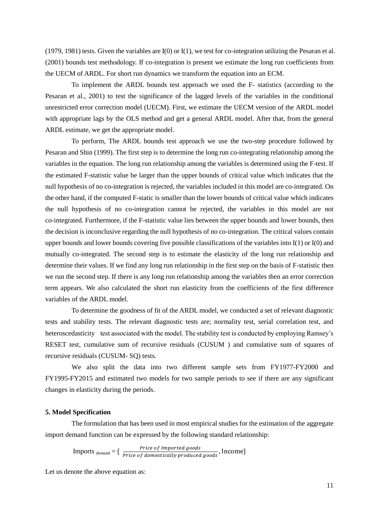(1979, 1981) tests. Given the variables are I(0) or I(1), we test for co-integration utilizing the Pesaran et al. (2001) bounds test methodology. If co-integration is present we estimate the long run coefficients from the UECM of ARDL. For short run dynamics we transform the equation into an ECM.

To implement the ARDL bounds test approach we used the F- statistics (according to the Pesaran et al., 2001) to test the significance of the lagged levels of the variables in the conditional unrestricted error correction model (UECM). First, we estimate the UECM version of the ARDL model with appropriate lags by the OLS method and get a general ARDL model. After that, from the general ARDL estimate, we get the appropriate model.

To perform, The ARDL bounds test approach we use the two-step procedure followed by Pesaran and Shin (1999). The first step is to determine the long run co-integrating relationship among the variables in the equation. The long run relationship among the variables is determined using the F-test. If the estimated F-statistic value be larger than the upper bounds of critical value which indicates that the null hypothesis of no co-integration is rejected, the variables included in this model are co-integrated. On the other hand, if the computed F-static is smaller than the lower bounds of critical value which indicates the null hypothesis of no co-integration cannot be rejected, the variables in this model are not co-integrated. Furthermore, if the F-statistic value lies between the upper bounds and lower bounds, then the decision is inconclusive regarding the null hypothesis of no co-integration. The critical values contain upper bounds and lower bounds covering five possible classifications of the variables into I(1) or I(0) and mutually co-integrated. The second step is to estimate the elasticity of the long run relationship and determine their values. If we find any long run relationship in the first step on the basis of F-statistic then we run the second step. If there is any long run relationship among the variables then an error correction term appears. We also calculated the short run elasticity from the coefficients of the first difference variables of the ARDL model.

To determine the goodness of fit of the ARDL model, we conducted a set of relevant diagnostic tests and stability tests. The relevant diagnostic tests are; normality test, serial correlation test, and heteroscedasticity test associated with the model. The stability test is conducted by employing Ramsey's RESET test, cumulative sum of recursive residuals (CUSUM ) and cumulative sum of squares of recursive residuals (CUSUM- SQ) tests.

We also split the data into two different sample sets from FY1977-FY2000 and FY1995-FY2015 and estimated two models for two sample periods to see if there are any significant changes in elasticity during the periods.

#### **5. Model Specification**

The formulation that has been used in most empirical studies for the estimation of the aggregate import demand function can be expressed by the following standard relationship:

$$
Imports_{\text{ demand}} = \left\{ \frac{Price \ of \scriptstyle \textit{Imported \textit{ goods}}}{Price \ of \scriptstyle \textit{domestically \textit{ produced \textit{goods}}}} \right\}.
$$

Let us denote the above equation as: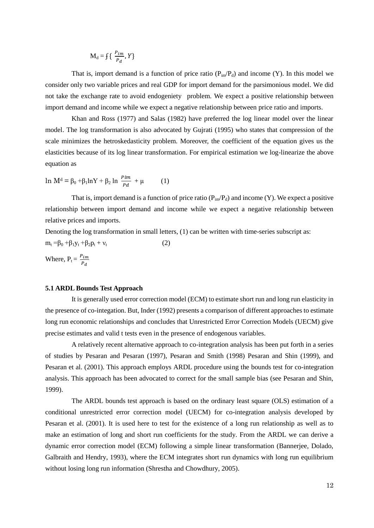$M_d = f\left(\frac{P}{q}\right)$  $\frac{m}{P_d}$ , Y}

That is, import demand is a function of price ratio  $(P_{im}/P_d)$  and income (Y). In this model we consider only two variable prices and real GDP for import demand for the parsimonious model. We did not take the exchange rate to avoid endogeniety problem. We expect a positive relationship between import demand and income while we expect a negative relationship between price ratio and imports.

Khan and Ross (1977) and Salas (1982) have preferred the log linear model over the linear model. The log transformation is also advocated by Gujrati (1995) who states that compression of the scale minimizes the hetroskedasticity problem. Moreover, the coefficient of the equation gives us the elasticities because of its log linear transformation. For empirical estimation we log-linearize the above equation as

ln M<sup>d</sup> = β<sub>0</sub> +β<sub>1</sub>lnY + β<sub>2</sub> ln  $\frac{Pm}{Pd}$  + μ (1)

That is, import demand is a function of price ratio  $(P_{in}/P_d)$  and income  $(Y)$ . We expect a positive relationship between import demand and income while we expect a negative relationship between relative prices and imports.

Denoting the log transformation in small letters, (1) can be written with time-series subscript as:  $m_t = \beta_0 + \beta_1 y_t + \beta_2 p_t + v_t$ (2)

Where,  $P_t = \frac{P}{l}$ P

#### **5.1 ARDL Bounds Test Approach**

It is generally used error correction model (ECM) to estimate short run and long run elasticity in the presence of co-integation. But, Inder (1992) presents a comparison of different approaches to estimate long run economic relationships and concludes that Unrestricted Error Correction Models (UECM) give precise estimates and valid t tests even in the presence of endogenous variables.

A relatively recent alternative approach to co-integration analysis has been put forth in a series of studies by Pesaran and Pesaran (1997), Pesaran and Smith (1998) Pesaran and Shin (1999), and Pesaran et al. (2001). This approach employs ARDL procedure using the bounds test for co-integration analysis. This approach has been advocated to correct for the small sample bias (see Pesaran and Shin, 1999).

The ARDL bounds test approach is based on the ordinary least square (OLS) estimation of a conditional unrestricted error correction model (UECM) for co-integration analysis developed by Pesaran et al. (2001). It is used here to test for the existence of a long run relationship as well as to make an estimation of long and short run coefficients for the study. From the ARDL we can derive a dynamic error correction model (ECM) following a simple linear transformation (Bannerjee, Dolado, Galbraith and Hendry, 1993), where the ECM integrates short run dynamics with long run equilibrium without losing long run information (Shrestha and Chowdhury, 2005).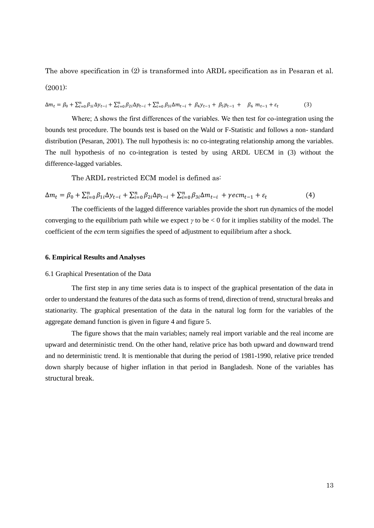The above specification in (2) is transformed into ARDL specification as in Pesaran et al.  $(2001)$ :

 $\Delta m_t = \beta_0 + \sum_{i=0}^n \beta_{1i} \Delta y_{t-i} + \sum_{i=0}^n \beta_{2i} \Delta p_{t-i} + \sum_{i=0}^n \beta_{2i} \Delta p_{t-i}$  $(3)$ 

Where;  $\Delta$  shows the first differences of the variables. We then test for co-integration using the bounds test procedure. The bounds test is based on the Wald or F-Statistic and follows a non- standard distribution (Pesaran, 2001). The null hypothesis is: no co-integrating relationship among the variables. The null hypothesis of no co-integration is tested by using ARDL UECM in (3) without the difference-lagged variables.

The ARDL restricted ECM model is defined as:

 $\Delta m_t = \beta_0 + \sum_{i=0}^n \beta_{1i} \Delta y_{t-i} + \sum_{i=0}^n \beta_{2i} \Delta p_{t-i} + \sum_{i=0}^n \beta_{2i} \Delta p_{t-i}$  $(4)$ 

The coefficients of the lagged difference variables provide the short run dynamics of the model converging to the equilibrium path while we expect *γ* to be < 0 for it implies stability of the model. The coefficient of the *ecm* term signifies the speed of adjustment to equilibrium after a shock.

# **6. Empirical Results and Analyses**

#### 6.1 Graphical Presentation of the Data

The first step in any time series data is to inspect of the graphical presentation of the data in order to understand the features of the data such as forms of trend, direction of trend, structural breaks and stationarity. The graphical presentation of the data in the natural log form for the variables of the aggregate demand function is given in figure 4 and figure 5.

The figure shows that the main variables; namely real import variable and the real income are upward and deterministic trend. On the other hand, relative price has both upward and downward trend and no deterministic trend. It is mentionable that during the period of 1981-1990, relative price trended down sharply because of higher inflation in that period in Bangladesh. None of the variables has structural break.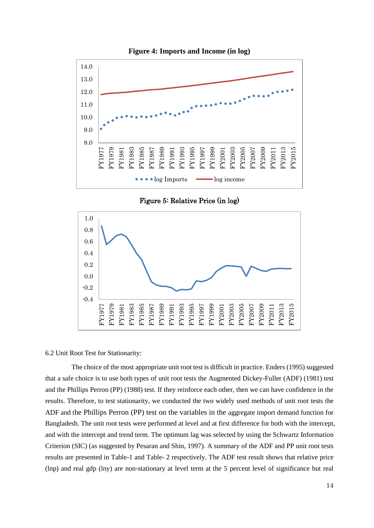

**Figure 4: Imports and Income (in log)**

Figure 5: Relative Price (in log)



#### 6.2 Unit Root Test for Stationarity:

The choice of the most appropriate unit root test is difficult in practice. Enders (1995) suggested that a safe choice is to use both types of unit root tests the Augmented Dickey-Fuller (ADF) (1981) test and the Phillips Perron (PP) (1988) test. If they reinforce each other, then we can have confidence in the results. Therefore, to test stationarity, we conducted the two widely used methods of unit root tests the ADF and the Phillips Perron (PP) test on the variables in the aggregate import demand function for Bangladesh. The unit root tests were performed at level and at first difference for both with the intercept, and with the intercept and trend term. The optimum lag was selected by using the Schwartz Information Criterion (SIC) (as suggested by Pesaran and Shin, 1997). A summary of the ADF and PP unit root tests results are presented in Table-1 and Table- 2 respectively. The ADF test result shows that relative price (lnp) and real gdp (lny) are non-stationary at level term at the 5 percent level of significance but real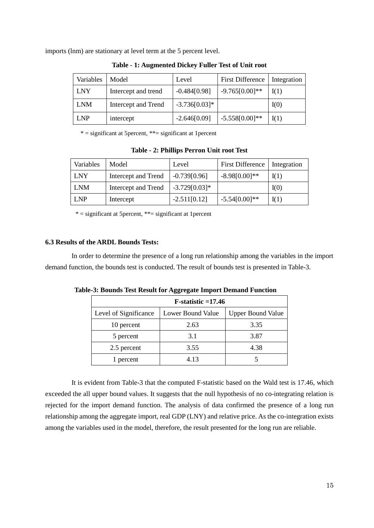imports (lnm) are stationary at level term at the 5 percent level.

| Variables  | Model               | Level           | <b>First Difference</b> | Integration |
|------------|---------------------|-----------------|-------------------------|-------------|
| <b>LNY</b> | Intercept and trend | $-0.484[0.98]$  | $-9.765[0.00]**$        | I(1)        |
| <b>LNM</b> | Intercept and Trend | $-3.736[0.03]*$ |                         | I(0)        |
| <b>LNP</b> | intercept           | $-2.646[0.09]$  | $-5.558[0.00]**$        | I(1)        |

**Table - 1: Augmented Dickey Fuller Test of Unit root**

\* = significant at 5percent, \*\*= significant at 1percent

**Table - 2: Phillips Perron Unit root Test**

| Variables  | Model               | Level           | First Difference   Integration |      |
|------------|---------------------|-----------------|--------------------------------|------|
| <b>LNY</b> | Intercept and Trend | $-0.739[0.96]$  | $-8.98[0.00]**$                | I(1) |
| <b>LNM</b> | Intercept and Trend | $-3.729[0.03]*$ |                                | I(0) |
| LNP        | Intercept           | $-2.511[0.12]$  | $-5.54[0.00]**$                | I(1) |

 $* =$  significant at 5 percent,  $** =$  significant at 1 percent

## **6.3 Results of the ARDL Bounds Tests:**

In order to determine the presence of a long run relationship among the variables in the import demand function, the bounds test is conducted. The result of bounds test is presented in Table-3.

| $F-statistic = 17.46$ |                   |                          |  |  |  |
|-----------------------|-------------------|--------------------------|--|--|--|
| Level of Significance | Lower Bound Value | <b>Upper Bound Value</b> |  |  |  |
| 10 percent            | 2.63              | 3.35                     |  |  |  |
| 5 percent             | 3.1               | 3.87                     |  |  |  |
| 2.5 percent           | 3.55              | 4.38                     |  |  |  |
| 1 percent             | 4 13              |                          |  |  |  |

**Table-3: Bounds Test Result for Aggregate Import Demand Function**

It is evident from Table-3 that the computed F-statistic based on the Wald test is 17.46, which exceeded the all upper bound values. It suggests that the null hypothesis of no co-integrating relation is rejected for the import demand function. The analysis of data confirmed the presence of a long run relationship among the aggregate import, real GDP (LNY) and relative price. As the co-integration exists among the variables used in the model, therefore, the result presented for the long run are reliable.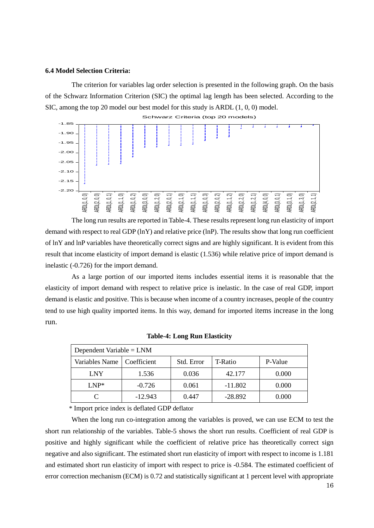#### **6.4 Model Selection Criteria:**

The criterion for variables lag order selection is presented in the following graph. On the basis of the Schwarz Information Criterion (SIC) the optimal lag length has been selected. According to the SIC, among the top 20 model our best model for this study is ARDL (1, 0, 0) model.



The long run results are reported in Table-4. These results represent long run elasticity of import demand with respect to real GDP (lnY) and relative price (lnP). The results show that long run coefficient of lnY and lnP variables have theoretically correct signs and are highly significant. It is evident from this result that income elasticity of import demand is elastic (1.536) while relative price of import demand is inelastic (-0.726) for the import demand.

As a large portion of our imported items includes essential items it is reasonable that the elasticity of import demand with respect to relative price is inelastic. In the case of real GDP, import demand is elastic and positive. This is because when income of a country increases, people of the country tend to use high quality imported items. In this way, demand for imported items increase in the long run.

| Dependent Variable = $LNM$   |           |            |           |         |  |
|------------------------------|-----------|------------|-----------|---------|--|
| Variables Name   Coefficient |           | Std. Error | T-Ratio   | P-Value |  |
| <b>LNY</b>                   | 1.536     | 0.036      | 42.177    | 0.000   |  |
| $LNP^*$                      | $-0.726$  | 0.061      | $-11.802$ | 0.000   |  |
|                              | $-12.943$ | 0.447      | $-28.892$ | 0.000   |  |

#### **Table-4: Long Run Elasticity**

\* Import price index is deflated GDP deflator

When the long run co-integration among the variables is proved, we can use ECM to test the short run relationship of the variables. Table-5 shows the short run results. Coefficient of real GDP is positive and highly significant while the coefficient of relative price has theoretically correct sign negative and also significant. The estimated short run elasticity of import with respect to income is 1.181 and estimated short run elasticity of import with respect to price is -0.584. The estimated coefficient of error correction mechanism (ECM) is 0.72 and statistically significant at 1 percent level with appropriate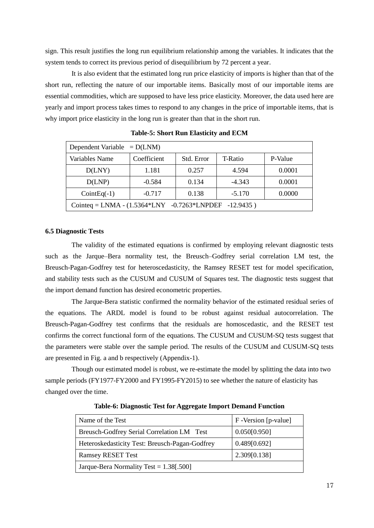sign. This result justifies the long run equilibrium relationship among the variables. It indicates that the system tends to correct its previous period of disequilibrium by 72 percent a year.

It is also evident that the estimated long run price elasticity of imports is higher than that of the short run, reflecting the nature of our importable items. Basically most of our importable items are essential commodities, which are supposed to have less price elasticity. Moreover, the data used here are yearly and import process takes times to respond to any changes in the price of importable items, that is why import price elasticity in the long run is greater than that in the short run.

| Dependent Variable $= D(LNM)$                                 |             |            |          |         |  |
|---------------------------------------------------------------|-------------|------------|----------|---------|--|
| Variables Name                                                | Coefficient | Std. Error | T-Ratio  | P-Value |  |
| D(LNY)                                                        | 1.181       | 0.257      | 4.594    | 0.0001  |  |
| D(LNP)                                                        | $-0.584$    | 0.134      | $-4.343$ | 0.0001  |  |
| $CointEq(-1)$                                                 | $-0.717$    | 0.138      | $-5.170$ | 0.0000  |  |
| Cointeq = LNMA - $(1.5364*LNY -0.7263*LNPDEF$<br>$-12.9435$ ) |             |            |          |         |  |

**Table-5: Short Run Elasticity and ECM**

## **6.5 Diagnostic Tests**

The validity of the estimated equations is confirmed by employing relevant diagnostic tests such as the Jarque–Bera normality test, the Breusch–Godfrey serial correlation LM test, the Breusch-Pagan-Godfrey test for heteroscedasticity, the Ramsey RESET test for model specification, and stability tests such as the CUSUM and CUSUM of Squares test. The diagnostic tests suggest that the import demand function has desired econometric properties.

The Jarque-Bera statistic confirmed the normality behavior of the estimated residual series of the equations. The ARDL model is found to be robust against residual autocorrelation. The Breusch-Pagan-Godfrey test confirms that the residuals are homoscedastic, and the RESET test confirms the correct functional form of the equations. The CUSUM and CUSUM-SQ tests suggest that the parameters were stable over the sample period. The results of the CUSUM and CUSUM-SQ tests are presented in Fig. a and b respectively (Appendix-1).

Though our estimated model is robust, we re-estimate the model by splitting the data into two sample periods (FY1977-FY2000 and FY1995-FY2015) to see whether the nature of elasticity has changed over the time.

| Name of the Test                               | F-Version [p-value] |
|------------------------------------------------|---------------------|
| Breusch-Godfrey Serial Correlation LM Test     | 0.050[0.950]        |
| Heteroskedasticity Test: Breusch-Pagan-Godfrey | 0.489[0.692]        |
| <b>Ramsey RESET Test</b>                       | 2.309[0.138]        |
| Jarque-Bera Normality Test = $1.38$ [.500]     |                     |

**Table-6: Diagnostic Test for Aggregate Import Demand Function**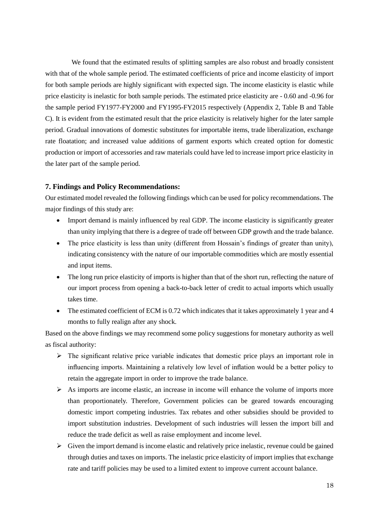We found that the estimated results of splitting samples are also robust and broadly consistent with that of the whole sample period. The estimated coefficients of price and income elasticity of import for both sample periods are highly significant with expected sign. The income elasticity is elastic while price elasticity is inelastic for both sample periods. The estimated price elasticity are - 0.60 and -0.96 for the sample period FY1977-FY2000 and FY1995-FY2015 respectively (Appendix 2, Table B and Table C). It is evident from the estimated result that the price elasticity is relatively higher for the later sample period. Gradual innovations of domestic substitutes for importable items, trade liberalization, exchange rate floatation; and increased value additions of garment exports which created option for domestic production or import of accessories and raw materials could have led to increase import price elasticity in the later part of the sample period.

# **7. Findings and Policy Recommendations:**

Our estimated model revealed the following findings which can be used for policy recommendations. The major findings of this study are:

- Import demand is mainly influenced by real GDP. The income elasticity is significantly greater than unity implying that there is a degree of trade off between GDP growth and the trade balance.
- The price elasticity is less than unity (different from Hossain's findings of greater than unity), indicating consistency with the nature of our importable commodities which are mostly essential and input items.
- The long run price elasticity of imports is higher than that of the short run, reflecting the nature of our import process from opening a back-to-back letter of credit to actual imports which usually takes time.
- The estimated coefficient of ECM is 0.72 which indicates that it takes approximately 1 year and 4 months to fully realign after any shock.

Based on the above findings we may recommend some policy suggestions for monetary authority as well as fiscal authority:

- $\triangleright$  The significant relative price variable indicates that domestic price plays an important role in influencing imports. Maintaining a relatively low level of inflation would be a better policy to retain the aggregate import in order to improve the trade balance.
- $\triangleright$  As imports are income elastic, an increase in income will enhance the volume of imports more than proportionately. Therefore, Government policies can be geared towards encouraging domestic import competing industries. Tax rebates and other subsidies should be provided to import substitution industries. Development of such industries will lessen the import bill and reduce the trade deficit as well as raise employment and income level.
- $\triangleright$  Given the import demand is income elastic and relatively price inelastic, revenue could be gained through duties and taxes on imports. The inelastic price elasticity of import implies that exchange rate and tariff policies may be used to a limited extent to improve current account balance.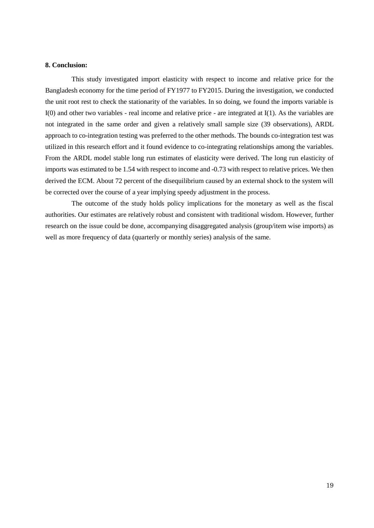## **8. Conclusion:**

This study investigated import elasticity with respect to income and relative price for the Bangladesh economy for the time period of FY1977 to FY2015. During the investigation, we conducted the unit root rest to check the stationarity of the variables. In so doing, we found the imports variable is I(0) and other two variables - real income and relative price - are integrated at I(1). As the variables are not integrated in the same order and given a relatively small sample size (39 observations), ARDL approach to co-integration testing was preferred to the other methods. The bounds co-integration test was utilized in this research effort and it found evidence to co-integrating relationships among the variables. From the ARDL model stable long run estimates of elasticity were derived. The long run elasticity of imports was estimated to be 1.54 with respect to income and -0.73 with respect to relative prices. We then derived the ECM. About 72 percent of the disequilibrium caused by an external shock to the system will be corrected over the course of a year implying speedy adjustment in the process.

The outcome of the study holds policy implications for the monetary as well as the fiscal authorities. Our estimates are relatively robust and consistent with traditional wisdom. However, further research on the issue could be done, accompanying disaggregated analysis (group/item wise imports) as well as more frequency of data (quarterly or monthly series) analysis of the same.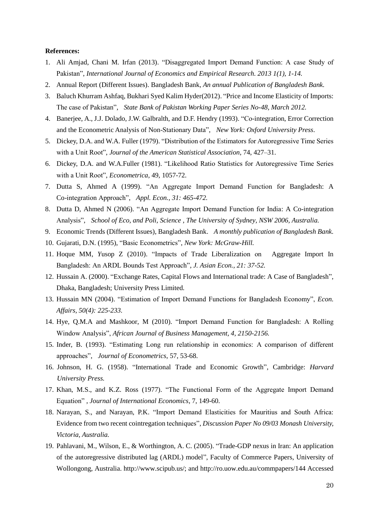# **References:**

- 1. Ali Amjad, Chani M. Irfan (2013). "Disaggregated Import Demand Function: A case Study of Pakistan", *International Journal of Economics and Empirical Research. 2013 1(1), 1-14.*
- 2. Annual Report (Different Issues). Bangladesh Bank, *An annual Publication of Bangladesh Bank.*
- 3. Baluch Khurram Ashfaq, Bukhari Syed Kalim Hyder(2012). "Price and Income Elasticity of Imports: The case of Pakistan", *State Bank of Pakistan Working Paper Series No-48, March 2012.*
- 4. Banerjee, A., J.J. Dolado, J.W. Galbralth, and D.F. Hendry (1993). "Co-integration, Error Correction and the Econometric Analysis of Non-Stationary Data", *New York: Oxford University Press*.
- 5. Dickey, D.A. and W.A. Fuller (1979). "Distribution of the Estimators for Autoregressive Time Series with a Unit Root", *Journal of the American Statistical Association*, 74, 427–31.
- 6. Dickey, D.A. and W.A.Fuller (1981). "Likelihood Ratio Statistics for Autoregressive Time Series with a Unit Root", *Econometrica*, 49, 1057-72.
- 7. Dutta S, Ahmed A (1999). "An Aggregate Import Demand Function for Bangladesh: A Co-integration Approach", *Appl. Econ., 31: 465-472.*
- 8. Dutta D, Ahmed N (2006). "An Aggregate Import Demand Function for India: A Co-integration Analysis", *School of Eco, and Poli, Science , The University of Sydney, NSW 2006, Australia.*
- 9. Economic Trends (Different Issues), Bangladesh Bank. *A monthly publication of Bangladesh Bank.*
- 10. Gujarati, D.N. (1995), "Basic Econometrics", *New York: McGraw-Hill.*
- 11. Hoque MM, *Y*usop Z (2010). "Impacts of Trade Liberalization on Aggregate Import In Bangladesh: An ARDL Bounds Test Approach", *J. Asian Econ., 21: 37-52.*
- 12. Hussain A. (2000). "Exchange Rates, Capital Flows and International trade: A Case of Bangladesh", Dhaka, Bangladesh; University Press Limited*.*
- 13. Hussain MN (2004). "Estimation of Import Demand Functions for Bangladesh Economy", *Econ. Affairs, 50(4): 225-233.*
- 14. Hye, Q.M.A and Mashkoor, M (2010). "Import Demand Function for Bangladesh: A Rolling Window Analysis", *African Journal of Business Management, 4, 2150-2156.*
- 15. Inder, B. (1993). "Estimating Long run relationship in economics: A comparison of different approaches", *Journal of Econometrics*, 57, 53-68.
- 16. Johnson, H. G. (1958). "International Trade and Economic Growth", Cambridge: *Harvard University Press.*
- 17. Khan, M.S., and K.Z. Ross (1977). "The Functional Form of the Aggregate Import Demand Equation" , *Journal of International Economics*, 7, 149-60.
- 18. Narayan, S., and Narayan, P.K. "Import Demand Elasticities for Mauritius and South Africa: Evidence from two recent cointregation techniques", *Discussion Paper No 09/03 Monash University, Victoria, Australia.*
- 19. Pahlavani, M., Wilson, E., & Worthington, A. C. (2005). "Trade-GDP nexus in Iran: An application of the autoregressive distributed lag (ARDL) model", Faculty of Commerce Papers, University of Wollongong, Australia. http://www.scipub.us/; and [http://ro.uow.edu.au/commpapers/144 Accessed](http://ro.uow.edu.au/commpapers/144%20Accessed%2005.09.06)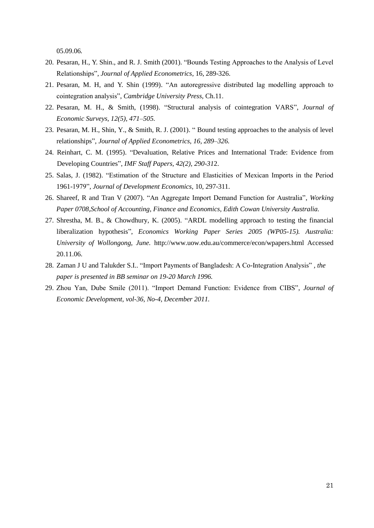05.09.06*.*

- 20. Pesaran, H., Y. Shin., and R. J. Smith (2001). "Bounds Testing Approaches to the Analysis of Level Relationships", *Journal of Applied Econometrics*, 16, 289-326.
- 21. Pesaran, M. H, and Y. Shin (1999). "An autoregressive distributed lag modelling approach to cointegration analysis", *Cambridge University Press*, Ch.11.
- 22. Pesaran, M. H., & Smith, (1998). "Structural analysis of cointegration VARS", *Journal of Economic Surveys, 12(5), 471–505.*
- 23. Pesaran, M. H., Shin, Y., & Smith, R. J. (2001). " Bound testing approaches to the analysis of level relationships", *Journal of Applied Econometrics, 16, 289–326.*
- 24. Reinhart, C. M. (1995). "Devaluation, Relative Prices and International Trade: Evidence from Developing Countries", *IMF Staff Papers, 42(2), 290-31*2.
- 25. Salas, J. (1982). "Estimation of the Structure and Elasticities of Mexican Imports in the Period 1961-1979", *Journal of Development Economics*, 10, 297-311.
- 26. Shareef, R and Tran V (2007). "An Aggregate Import Demand Function for Australia", *Working Paper 0708,School of Accounting, Finance and Economics, Edith Cowan University Australia.*
- 27. Shrestha, M. B., & Chowdhury, K. (2005). "ARDL modelling approach to testing the financial liberalization hypothesis", *Economics Working Paper Series 2005 (WP05-15). Australia: University of Wollongong, June.* [http://www.uow.edu.au/commerce/econ/wpapers.html Accessed](http://www.uow.edu.au/commerce/econ/wpapers.html%20Accessed%2020.11.06)  [20.11.06.](http://www.uow.edu.au/commerce/econ/wpapers.html%20Accessed%2020.11.06)
- 28. Zaman J U and Talukder S.I.. "Import Payments of Bangladesh: A Co-Integration Analysis" *, the paper is presented in BB seminar on 19-20 March 1996.*
- 29. Zhou Yan, Dube Smile (2011). "Import Demand Function: Evidence from CIBS", *Journal of Economic Development, vol-36, No-4, December 2011.*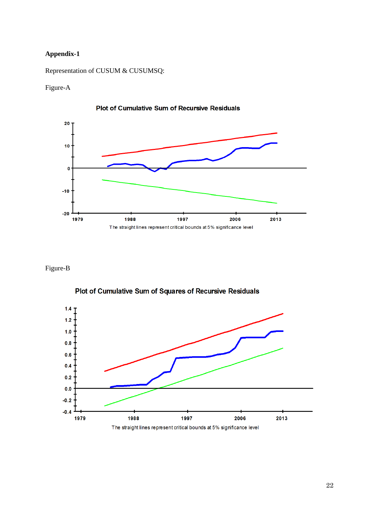# **Appendix-1**

Representation of CUSUM & CUSUMSQ:

Figure-A







Plot of Cumulative Sum of Squares of Recursive Residuals